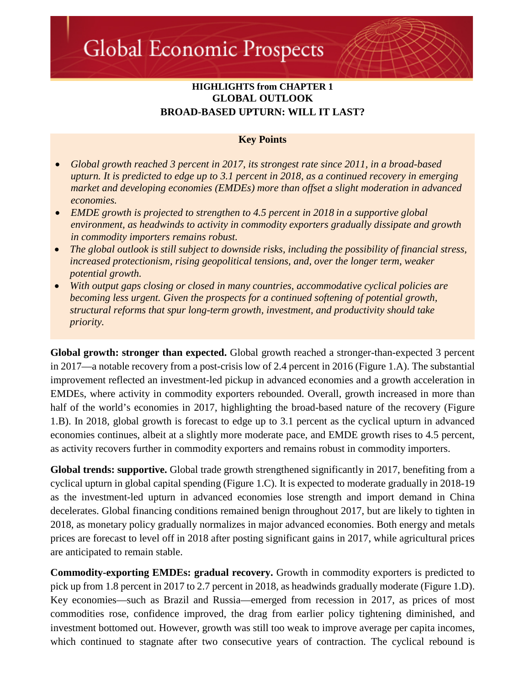# **HIGHLIGHTS from CHAPTER 1 GLOBAL OUTLOOK BROAD-BASED UPTURN: WILL IT LAST?**

# **Key Points**

- *Global growth reached 3 percent in 2017, its strongest rate since 2011, in a broad-based upturn. It is predicted to edge up to 3.1 percent in 2018, as a continued recovery in emerging market and developing economies (EMDEs) more than offset a slight moderation in advanced economies.*
- *EMDE growth is projected to strengthen to 4.5 percent in 2018 in a supportive global environment, as headwinds to activity in commodity exporters gradually dissipate and growth in commodity importers remains robust.*
- *The global outlook is still subject to downside risks, including the possibility of financial stress, increased protectionism, rising geopolitical tensions, and, over the longer term, weaker potential growth.*
- *With output gaps closing or closed in many countries, accommodative cyclical policies are becoming less urgent. Given the prospects for a continued softening of potential growth, structural reforms that spur long-term growth, investment, and productivity should take priority.*

**Global growth: stronger than expected.** Global growth reached a stronger-than-expected 3 percent in 2017—a notable recovery from a post-crisis low of 2.4 percent in 2016 (Figure 1.A). The substantial improvement reflected an investment-led pickup in advanced economies and a growth acceleration in EMDEs, where activity in commodity exporters rebounded. Overall, growth increased in more than half of the world's economies in 2017, highlighting the broad-based nature of the recovery (Figure 1.B). In 2018, global growth is forecast to edge up to 3.1 percent as the cyclical upturn in advanced economies continues, albeit at a slightly more moderate pace, and EMDE growth rises to 4.5 percent, as activity recovers further in commodity exporters and remains robust in commodity importers.

**Global trends: supportive.** Global trade growth strengthened significantly in 2017, benefiting from a cyclical upturn in global capital spending (Figure 1.C). It is expected to moderate gradually in 2018-19 as the investment-led upturn in advanced economies lose strength and import demand in China decelerates. Global financing conditions remained benign throughout 2017, but are likely to tighten in 2018, as monetary policy gradually normalizes in major advanced economies. Both energy and metals prices are forecast to level off in 2018 after posting significant gains in 2017, while agricultural prices are anticipated to remain stable.

**Commodity-exporting EMDEs: gradual recovery.** Growth in commodity exporters is predicted to pick up from 1.8 percent in 2017 to 2.7 percent in 2018, as headwinds gradually moderate (Figure 1.D). Key economies—such as Brazil and Russia—emerged from recession in 2017, as prices of most commodities rose, confidence improved, the drag from earlier policy tightening diminished, and investment bottomed out. However, growth was still too weak to improve average per capita incomes, which continued to stagnate after two consecutive years of contraction. The cyclical rebound is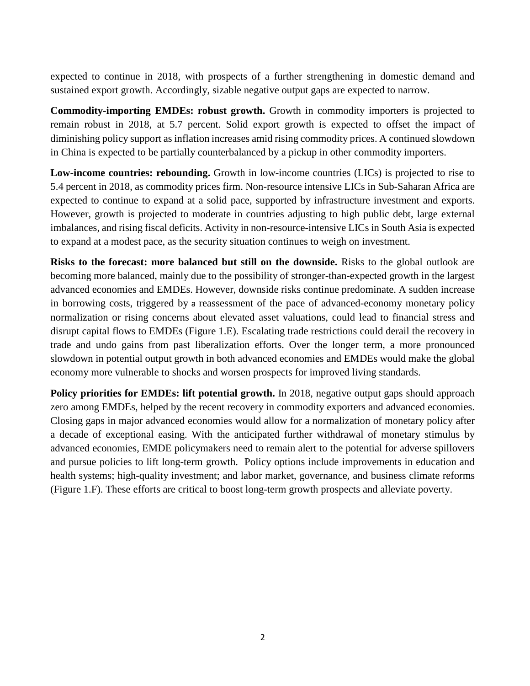expected to continue in 2018, with prospects of a further strengthening in domestic demand and sustained export growth. Accordingly, sizable negative output gaps are expected to narrow.

**Commodity-importing EMDEs: robust growth.** Growth in commodity importers is projected to remain robust in 2018, at 5.7 percent. Solid export growth is expected to offset the impact of diminishing policy support as inflation increases amid rising commodity prices. A continued slowdown in China is expected to be partially counterbalanced by a pickup in other commodity importers.

**Low-income countries: rebounding.** Growth in low-income countries (LICs) is projected to rise to 5.4 percent in 2018, as commodity prices firm. Non-resource intensive LICs in Sub-Saharan Africa are expected to continue to expand at a solid pace, supported by infrastructure investment and exports. However, growth is projected to moderate in countries adjusting to high public debt, large external imbalances, and rising fiscal deficits. Activity in non-resource-intensive LICs in South Asia is expected to expand at a modest pace, as the security situation continues to weigh on investment.

**Risks to the forecast: more balanced but still on the downside.** Risks to the global outlook are becoming more balanced, mainly due to the possibility of stronger-than-expected growth in the largest advanced economies and EMDEs. However, downside risks continue predominate. A sudden increase in borrowing costs, triggered by a reassessment of the pace of advanced-economy monetary policy normalization or rising concerns about elevated asset valuations, could lead to financial stress and disrupt capital flows to EMDEs (Figure 1.E). Escalating trade restrictions could derail the recovery in trade and undo gains from past liberalization efforts. Over the longer term, a more pronounced slowdown in potential output growth in both advanced economies and EMDEs would make the global economy more vulnerable to shocks and worsen prospects for improved living standards.

**Policy priorities for <b>EMDEs:** lift potential growth. In 2018, negative output gaps should approach zero among EMDEs, helped by the recent recovery in commodity exporters and advanced economies. Closing gaps in major advanced economies would allow for a normalization of monetary policy after a decade of exceptional easing. With the anticipated further withdrawal of monetary stimulus by advanced economies, EMDE policymakers need to remain alert to the potential for adverse spillovers and pursue policies to lift long-term growth. Policy options include improvements in education and health systems; high-quality investment; and labor market, governance, and business climate reforms (Figure 1.F). These efforts are critical to boost long-term growth prospects and alleviate poverty.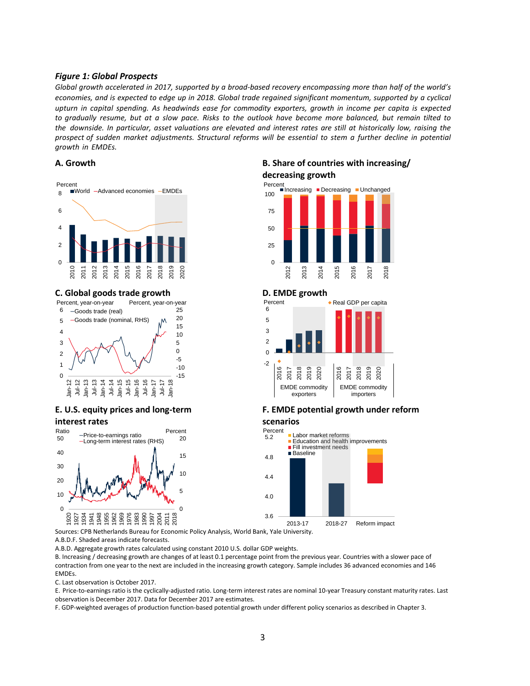## *Figure 1: Global Prospects*

*Global growth accelerated in 2017, supported by a broad-based recovery encompassing more than half of the world's economies, and is expected to edge up in 2018. Global trade regained significant momentum, supported by a cyclical upturn in capital spending. As headwinds ease for commodity exporters, growth in income per capita is expected to gradually resume, but at a slow pace. Risks to the outlook have become more balanced, but remain tilted to the downside. In particular, asset valuations are elevated and interest rates are still at historically low, raising the prospect of sudden market adjustments. Structural reforms will be essential to stem a further decline in potential growth in EMDEs.* 



### **C. Global goods trade growth D. EMDE growth**



# **E. U.S. equity prices and long-term interest rates**



Sources: CPB Netherlands Bureau for Economic Policy Analysis, World Bank, Yale University.

A.B.D.F. Shaded areas indicate forecasts.

A.B.D. Aggregate growth rates calculated using constant 2010 U.S. dollar GDP weights.

B. Increasing / decreasing growth are changes of at least 0.1 percentage point from the previous year. Countries with a slower pace of contraction from one year to the next are included in the increasing growth category. Sample includes 36 advanced economies and 146 EMDEs.

C. Last observation is October 2017.

E. Price-to-earnings ratio is the cyclically-adjusted ratio. Long-term interest rates are nominal 10-year Treasury constant maturity rates. Last observation is December 2017. Data for December 2017 are estimates.

F. GDP-weighted averages of production function-based potential growth under different policy scenarios as described in Chapter 3.

# **A. Growth B. Share of countries with increasing/**

# **decreasing growth**





## **F. EMDE potential growth under reform**

### **scenarios**